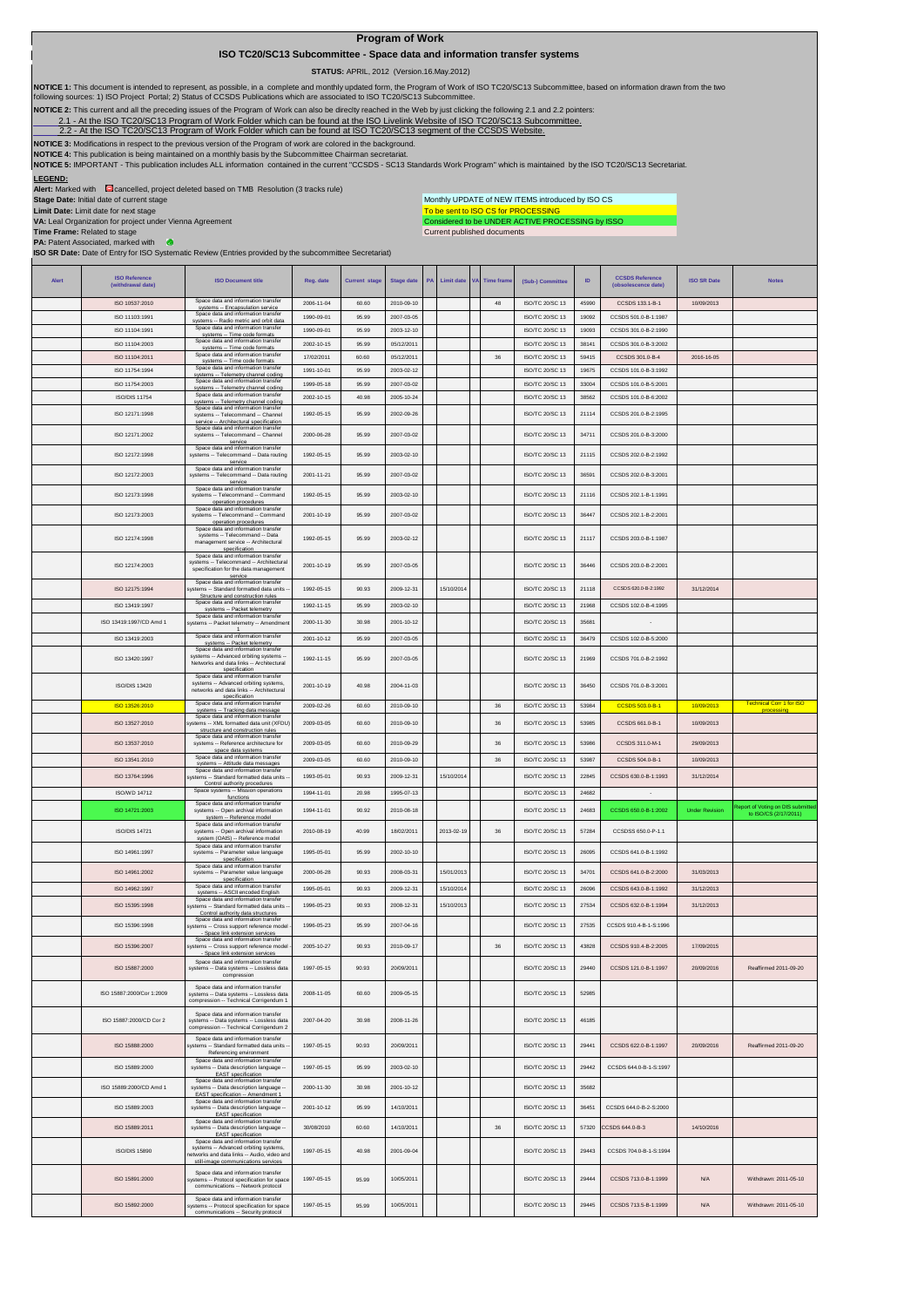## **Program of Work**

## **ISO TC20/SC13 Subcommittee - Space data and information transfer systems**

 **STATUS:** APRIL, 2012 (Version.16.May.2012)

NOTICE 1: This document is intended to represent, as possible, in a complete and monthly updated form, the Program of Work of ISO TC20/SC13 Subcommittee, based on information drawn from the two<br>following sources: 1) ISO Pr

**NOTICE 2:** This current and all the preceding issues of the Program of Work can also be direclty reached in the Web by just clicking the following 2.1 and 2.2 pointers:

2.1- At the ISO TC20/SC13 Program of Work Folder which can be found at the ISO Livelink Website of ISO TC20/SC13 Subcommittee.<br>[2.2 - A](http://cwe.ccsds.org/cmc/docs/Forms/AllItems.aspx?RootFolder=%2fcmc%2fdocs%2fISO%20TC20%2dSC13%2fISO%20TC20%2dSC13%20Meeting%20Minutes%20and%20Presentations&FolderCTID=&View=%7bD5DD30F7%2d53FC%2d45B9%2d8B93%2d709B280A475B%7d)t the ISO TC20/SC13 Program of Work Folder which can be found at ISO TC20/SC13 segment

**NOTICE 3:** Modifications in respect to the previous version of the Program of work are colored in the background.

NOTICE 4: This publication is being maintained on a monthly basis by the Subcommittee Chairman secretariat.<br>NOTICE 5: IMPORTANT - This publication includes ALL information contained in the current "CCSDS - SC13 Standards W

**LEGEND:**<br>**Alert:** Marked with Cancelled, project deleted based on TMB Resolution (3 tracks rule)

**VA:** Leal Organization for project under Vienna Agreement

**Stage Date:** Initial date of current stage **Limit Date:** Limit date for next stage

Monthly UPDATE of NEW ITEMS introduced by ISO CS

Current published documents To be sent to ISO CS for PROCESSING<br>Considered to be UNDER ACTIVE PROCESSING by ISSO

**Time Frame:** Related to stage **PA:** Patent Associated, marked with **ISO SR Date:** Date of Entry for ISO Systematic Review (Entries provided by the subcommittee Secretariat)

| Alert | <b>ISO Reference</b><br>(withdrawal date) | <b>ISO Document title</b>                                                                                                                                            | Reg. date  | <b>Current stage</b> | <b>Stage date</b> | PA | <b>Limit date</b> | <b>VA</b> | <b>Time frame</b> | (Sub-) Committee       | ID    | <b>CCSDS Reference</b><br>(obsolescence date) | <b>ISO SR Date</b>    | <b>Notes</b>                                  |
|-------|-------------------------------------------|----------------------------------------------------------------------------------------------------------------------------------------------------------------------|------------|----------------------|-------------------|----|-------------------|-----------|-------------------|------------------------|-------|-----------------------------------------------|-----------------------|-----------------------------------------------|
|       | ISO 10537:2010                            | Space data and information transfer<br>systems -- Encapsulation service                                                                                              | 2006-11-04 | 60.60                | 2010-09-10        |    |                   |           | 48                | ISO/TC 20/SC 13        | 45990 | CCSDS 133.1-B-1                               | 10/09/2013            |                                               |
|       | ISO 11103:1991                            | Space data and information transfer<br>systems -- Radio metric and orbit data                                                                                        | 1990-09-01 | 95.99                | 2007-03-05        |    |                   |           |                   | ISO/TC 20/SC 13        | 19092 | CCSDS 501.0-B-1:1987                          |                       |                                               |
|       | ISO 11104:1991                            | Space data and information transfe<br>systems -- Time code formats                                                                                                   | 1990-09-01 | 95.99                | 2003-12-10        |    |                   |           |                   | ISO/TC 20/SC 13        | 19093 | CCSDS 301.0-B-2:1990                          |                       |                                               |
|       | ISO 11104:2003                            | Space data and information transfer<br>systems -- Time code formats<br>Space data and information transfer                                                           | 2002-10-15 | 95.99                | 05/12/2011        |    |                   |           |                   | ISO/TC 20/SC 13        | 38141 | CCSDS 301.0-B-3:2002                          |                       |                                               |
|       | ISO 11104:2011                            | systems -- Time code formats<br>Space data and information transfer                                                                                                  | 17/02/2011 | 60.60                | 05/12/2011        |    |                   |           | 36                | ISO/TC 20/SC 13        | 59415 | CCSDS 301.0-B-4                               | 2016-16-05            |                                               |
|       | ISO 11754:1994                            | systems -- Telemetry channel coding<br>Space data and information transfer                                                                                           | 1991-10-01 | 95.99                | 2003-02-12        |    |                   |           |                   | ISO/TC 20/SC 13        | 19675 | CCSDS 101.0-B-3:1992                          |                       |                                               |
|       | ISO 11754:2003                            | systems -- Telemetry channel coding<br>Space data and information transfer                                                                                           | 1999-05-18 | 95.99                | 2007-03-02        |    |                   |           |                   | ISO/TC 20/SC 13        | 33004 | CCSDS 101.0-B-5:2001                          |                       |                                               |
|       | ISO/DIS 11754                             | systems -- Telemetry channel coding<br>Space data and information transfer                                                                                           | 2002-10-15 | 40.98                | 2005-10-24        |    |                   |           |                   | ISO/TC 20/SC 13        | 38562 | CCSDS 101.0-B-6:2002                          |                       |                                               |
|       | ISO 12171:1998                            | systems -- Telecommand -- Channel<br>service -- Architectural specification                                                                                          | 1992-05-15 | 95.99                | 2002-09-26        |    |                   |           |                   | ISO/TC 20/SC 13        | 21114 | CCSDS 201.0-B-2:1995                          |                       |                                               |
|       | ISO 12171:2002                            | Space data and information transfe<br>systems -- Telecommand -- Channel<br>service                                                                                   | 2000-06-28 | 95.99                | 2007-03-02        |    |                   |           |                   | ISO/TC 20/SC 13        | 34711 | CCSDS 201.0-B-3:2000                          |                       |                                               |
|       | ISO 12172:1998                            | Space data and information transfer<br>systems -- Telecommand -- Data routing<br>service<br>Space data and information transfer                                      | 1992-05-15 | 95.99                | 2003-02-10        |    |                   |           |                   | ISO/TC 20/SC 13        | 21115 | CCSDS 202.0-B-2:1992                          |                       |                                               |
|       | ISO 12172:2003                            | systems -- Telecommand -- Data routing<br>service                                                                                                                    | 2001-11-21 | 95.99                | 2007-03-02        |    |                   |           |                   | ISO/TC 20/SC 13        | 36591 | CCSDS 202.0-B-3:2001                          |                       |                                               |
|       | ISO 12173:1998                            | Space data and information transfer<br>systems -- Telecommand -- Command<br>operation procedures                                                                     | 1992-05-15 | 95.99                | 2003-02-10        |    |                   |           |                   | ISO/TC 20/SC 13        | 21116 | CCSDS 202.1-B-1:1991                          |                       |                                               |
|       | ISO 12173:2003                            | Space data and information transfer<br>systems -- Telecommand -- Command<br>operation procedures                                                                     | 2001-10-19 | 95.99                | 2007-03-02        |    |                   |           |                   | ISO/TC 20/SC 13        | 36447 | CCSDS 202.1-B-2:2001                          |                       |                                               |
|       | ISO 12174:1998                            | Space data and information transfer<br>systems -- Telecommand -- Data<br>management service -- Architectural<br>specification<br>Space data and information transfer | 1992-05-15 | 95.99                | 2003-02-12        |    |                   |           |                   | <b>ISO/TC 20/SC 13</b> | 21117 | CCSDS 203.0-B-1:1987                          |                       |                                               |
|       | ISO 12174:2003                            | systems -- Telecommand -- Architectural<br>specification for the data management<br>service                                                                          | 2001-10-19 | 95.99                | 2007-03-05        |    |                   |           |                   | ISO/TC 20/SC 13        | 36446 | CCSDS 203.0-B-2:2001                          |                       |                                               |
|       | ISO 12175:1994                            | Space data and information transfer<br>ystems -- Standard formatted data units<br>Structure and construction rules                                                   | 1992-05-15 | 90.93                | 2009-12-31        |    | 15/10/2014        |           |                   | ISO/TC 20/SC 13        | 21118 | CCSDS 620.0-B-2:1992                          | 31/12/2014            |                                               |
|       | ISO 13419:1997                            | Space data and information transfer<br>systems -- Packet telemetry                                                                                                   | 1992-11-15 | 95.99                | 2003-02-10        |    |                   |           |                   | ISO/TC 20/SC 13        | 21968 | CCSDS 102.0-B-4:1995                          |                       |                                               |
|       | ISO 13419:1997/CD Amd 1                   | Space data and information transfer<br>systems -- Packet telemetry -- Amendmen                                                                                       | 2000-11-30 | 30.98                | 2001-10-12        |    |                   |           |                   | <b>ISO/TC 20/SC 13</b> | 35681 |                                               |                       |                                               |
|       | ISO 13419:2003                            | Space data and information transfer<br>systems -- Packet telemetry                                                                                                   | 2001-10-12 | 95.99                | 2007-03-05        |    |                   |           |                   | ISO/TC 20/SC 13        | 36479 | CCSDS 102 0-B-5:2000                          |                       |                                               |
|       | ISO 13420:1997                            | Space data and information transfer<br>systems -- Advanced orbiting systems<br>Networks and data links -- Architectural<br>specification                             | 1992-11-15 | 95.99                | 2007-03-05        |    |                   |           |                   | ISO/TC 20/SC 13        | 21969 | CCSDS 701.0-B-2:1992                          |                       |                                               |
|       | ISO/DIS 13420                             | Space data and information transfer<br>systems -- Advanced orbiting systems<br>networks and data links -- Architectural<br>specification                             | 2001-10-19 | 40.98                | 2004-11-03        |    |                   |           |                   | ISO/TC 20/SC 13        | 36450 | CCSDS 701.0-B-3:2001                          |                       |                                               |
|       | ISO 13526:2010                            | Space data and information transfer<br>systems -- Tracking data message                                                                                              | 2009-02-26 | 60.60                | 2010-09-10        |    |                   |           | 36                | ISO/TC 20/SC 13        | 53984 | CCSDS 503.0-B-1                               | 10/09/2013            | <b>Technical Corr 1 for ISO</b><br>processing |
|       | ISO 13527:2010                            | Space data and information transfe<br>stems -- XML formatted data unit (XFDU)                                                                                        | 2009-03-05 | 60.60                | 2010-09-10        |    |                   |           | 36                | ISO/TC 20/SC 13        | 53985 | CCSDS 661.0-B-1                               | 10/09/2013            |                                               |
|       | ISO 13537:2010                            | structure and construction rules<br>Space data and information transfer<br>systems -- Reference architecture for                                                     | 2009-03-05 | 60.60                | 2010-09-29        |    |                   |           | $36\,$            | ISO/TC 20/SC 13        | 53986 | CCSDS 311.0-M-1                               | 29/09/2013            |                                               |
|       | ISO 13541:2010                            | space data systems<br>Space data and information transfer                                                                                                            | 2009-03-05 | 60.60                | 2010-09-10        |    |                   |           | 36                | ISO/TC 20/SC 13        | 53987 | CCSDS 504.0-B-1                               | 10/09/2013            |                                               |
|       | ISO 13764:1996                            | systems -- Attitude data messages<br>Space data and information transfer<br>ystems -- Standard formatted data units                                                  | 1993-05-01 | 90.93                | 2009-12-31        |    | 15/10/2014        |           |                   | ISO/TC 20/SC 13        | 22845 | CCSDS 630.0-B-1:1993                          | 31/12/2014            |                                               |
|       | ISO/WD 14712                              | Control authority procedures<br>Space systems -- Mission operations                                                                                                  | 1994-11-01 | 20.98                | 1995-07-13        |    |                   |           |                   | ISO/TC 20/SC 13        | 24682 | $\sim$                                        |                       |                                               |
|       | ISO 14721:2003                            | functions<br>Space data and information transfer<br>systems -- Open archival information                                                                             | 1994-11-01 | 90.92                | 2010-08-18        |    |                   |           |                   | ISO/TC 20/SC 13        | 24683 | CCSDS 650.0-B-1:2002                          | <b>Under Revision</b> | eport of Voting on DIS submitted              |
|       | <b>ISO/DIS 14721</b>                      | system -- Reference model<br>Space data and information transfer<br>systems -- Open archival information                                                             | 2010-08-19 | 40.99                | 18/02/2011        |    | 2013-02-19        |           | 36                | ISO/TC 20/SC 13        | 57284 | CCSDSS 650.0-P-1.1                            |                       | to ISO/CS (2/17/2011)                         |
|       |                                           | system (OAIS) -- Reference model<br>Space data and information transfer                                                                                              |            |                      |                   |    |                   |           |                   |                        |       |                                               |                       |                                               |
|       | ISO 14961:1997                            | systems -- Parameter value language<br>specification<br>Space data and information transfer                                                                          | 1995-05-01 | 95.99                | 2002-10-10        |    |                   |           |                   | ISO/TC 20/SC 13        | 26095 | CCSDS 641.0-B-1:1992                          |                       |                                               |
|       | ISO 14961:2002                            | systems -- Parameter value language<br>specification                                                                                                                 | 2000-06-28 | 90.93                | 2008-03-31        |    | 15/01/2013        |           |                   | ISO/TC 20/SC 13        | 34701 | CCSDS 641.0-B-2:2000                          | 31/03/2013            |                                               |
|       | ISO 14962:1997                            | Space data and information transfer<br>systems -- ASCII encoded English<br>Space data and information transfer                                                       | 1995-05-01 | 90.93                | 2009-12-31        |    | 15/10/2014        |           |                   | ISO/TC 20/SC 13        | 26096 | CCSDS 643.0-B-1:1992                          | 31/12/2013            |                                               |
|       | ISO 15395:1998                            | vstems -- Standard formatted data units<br>Control authority data structures                                                                                         | 1996-05-23 | 90.93                | 2008-12-31        |    | 15/10/2013        |           |                   | ISO/TC 20/SC 13        | 27534 | CCSDS 632.0-B-1:1994                          | 31/12/2013            |                                               |
|       | ISO 15396:1998                            | Space data and information transfer<br>ystems -- Cross support reference model<br>Space link extension services                                                      | 1996-05-23 | 95.99                | 2007-04-16        |    |                   |           |                   | ISO/TC 20/SC 13        | 27535 | CCSDS 910.4-B-1-S:1996                        |                       |                                               |
|       | ISO 15396:2007                            | Space data and information transfer<br>ystems -- Cross support reference model                                                                                       | 2005-10-27 | 90.93                | 2010-09-17        |    |                   |           | 36                | ISO/TC 20/SC 13        | 43828 | CCSDS 910.4-B-2:2005                          | 17/09/2015            |                                               |
|       | ISO 15887:2000                            | - Space link extension services<br>Space data and information transfer<br>systems -- Data systems -- Lossless data                                                   | 1997-05-15 | 90.93                | 20/09/2011        |    |                   |           |                   | ISO/TC 20/SC 13        | 29440 | CCSDS 121.0-B-1:1997                          | 20/09/2016            | Reaffirmed 2011-09-20                         |
|       | ISO 15887:2000/Cor 1:2009                 | compression<br>Space data and information transfer<br>systems -- Data systems -- Lossless data<br>compression -- Technical Corrigendum 1                             | 2008-11-05 | 60.60                | 2009-05-15        |    |                   |           |                   | ISO/TC 20/SC 13        | 52985 |                                               |                       |                                               |
|       | ISO 15887:2000/CD Cor 2                   | Space data and information transfer<br>systems -- Data systems -- Lossless data<br>compression -- Technical Corrigendum 2                                            | 2007-04-20 | 30.98                | 2008-11-26        |    |                   |           |                   | ISO/TC 20/SC 13        | 46185 |                                               |                       |                                               |
|       | ISO 15888:2000                            | Space data and information transfer<br>systems -- Standard formatted data units -<br>Referencing environment                                                         | 1997-05-15 | 90.93                | 20/09/2011        |    |                   |           |                   | ISO/TC 20/SC 13        | 29441 | CCSDS 622.0-B-1:1997                          | 20/09/2016            | Reaffirmed 2011-09-20                         |
|       | ISO 15889:2000                            | Space data and information transfer<br>systems -- Data description language -<br><b>EAST</b> specification                                                           | 1997-05-15 | 95.99                | 2003-02-10        |    |                   |           |                   | ISO/TC 20/SC 13        | 29442 | CCSDS 644.0-B-1-S:1997                        |                       |                                               |
|       | ISO 15889:2000/CD Amd 1                   | Space data and information transfer<br>systems -- Data description language -<br>EAST specification -- Amendment 1                                                   | 2000-11-30 | 30.98                | 2001-10-12        |    |                   |           |                   | ISO/TC 20/SC 13        | 35682 |                                               |                       |                                               |
|       | ISO 15889:2003                            | Space data and information transfer<br>systems -- Data description language -<br>EAST specification                                                                  | 2001-10-12 | 95.99                | 14/10/2011        |    |                   |           |                   | ISO/TC 20/SC 13        | 36451 | CCSDS 644.0-B-2-S:2000                        |                       |                                               |
|       | ISO 15889:2011                            | Space data and information transfer<br>systems -- Data description language --<br>EAST specification                                                                 | 30/08/2010 | 60.60                | 14/10/2011        |    |                   |           | 36                | ISO/TC 20/SC 13        | 57320 | CCSDS 644.0-B-3                               | 14/10/2016            |                                               |
|       | <b>ISO/DIS 15890</b>                      | Space data and information transfer<br>systems -- Advanced orbiting systems,<br>etworks and data links -- Audio, video and<br>still-image communications services    | 1997-05-15 | 40.98                | 2001-09-04        |    |                   |           |                   | ISO/TC 20/SC 13        | 29443 | CCSDS 704.0-B-1-S:1994                        |                       |                                               |
|       | ISO 15891:2000                            | Space data and information transfer<br>ystems -- Protocol specification for space<br>communications -- Network protocol                                              | 1997-05-15 | 95.99                | 10/05/2011        |    |                   |           |                   | <b>ISO/TC 20/SC 13</b> | 29444 | CCSDS 713.0-B-1:1999                          | N/A                   | Withdrawn: 2011-05-10                         |
|       | ISO 15892:2000                            | Space data and information transfer<br>systems -- Protocol specification for space<br>communications -- Security protocol                                            | 1997-05-15 | 95.99                | 10/05/2011        |    |                   |           |                   | ISO/TC 20/SC 13        | 29445 | CCSDS 713.5-B-1:1999                          | <b>N/A</b>            | Withdrawn: 2011-05-10                         |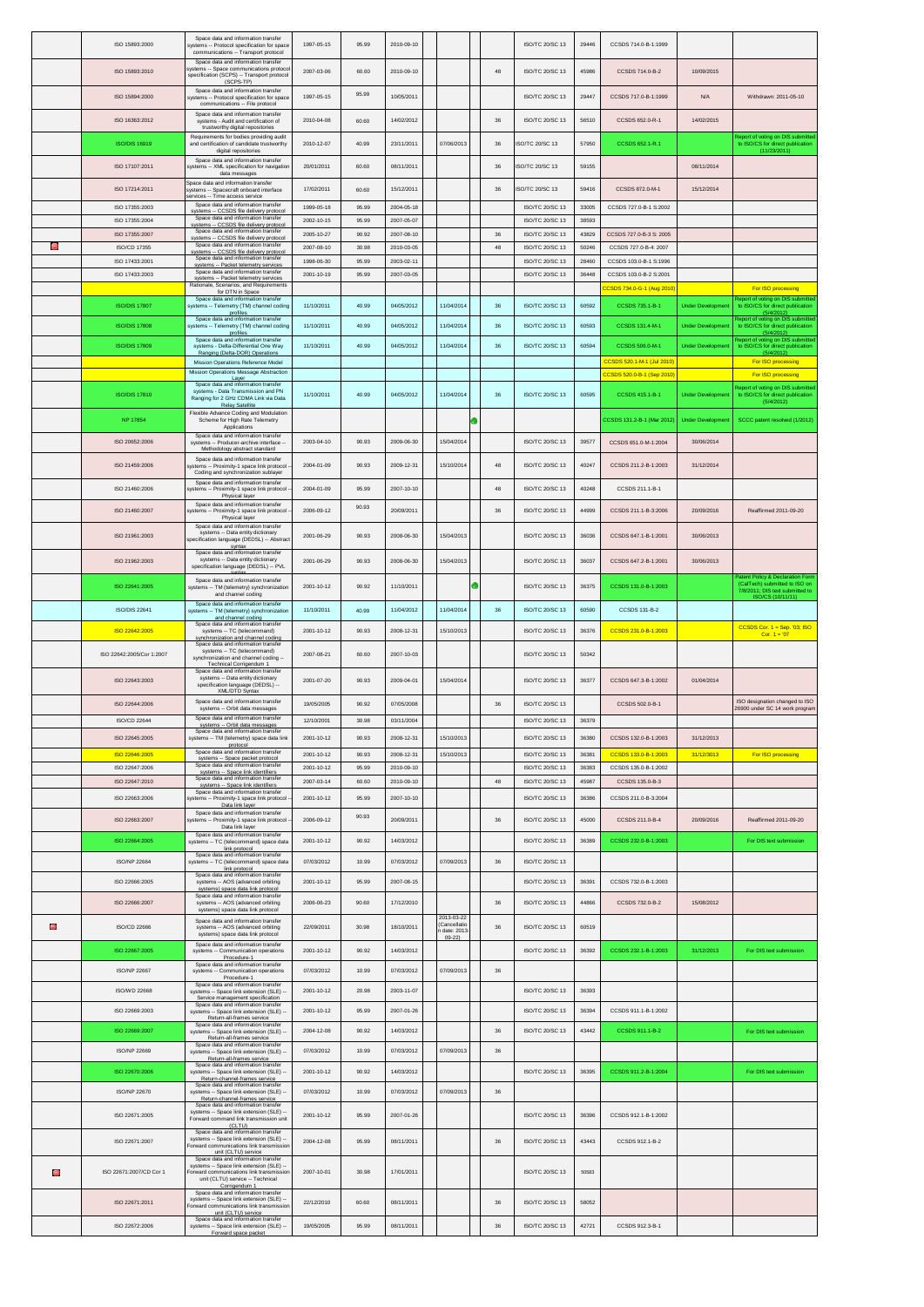|   | ISO 15893:2000                   | Space data and information transfer<br>systems -- Protocol specification for space<br>communications -- Transport protocol                                                      | 1997-05-15               | 95.99          | 2010-09-10               |                                        |        | ISO/TC 20/SC 13                    | 29446          | CCSDS 714.0-B-1:1999                                 |                         |                                                                                       |
|---|----------------------------------|---------------------------------------------------------------------------------------------------------------------------------------------------------------------------------|--------------------------|----------------|--------------------------|----------------------------------------|--------|------------------------------------|----------------|------------------------------------------------------|-------------------------|---------------------------------------------------------------------------------------|
|   | ISO 15893:2010                   | Space data and information transfer<br>systems -- Space communications protoco<br>specification (SCPS) -- Transport protocol                                                    | 2007-03-06               | 60.60          | 2010-09-10               |                                        | 48     | ISO/TC 20/SC 13                    | 45986          | CCSDS 714.0-B-2                                      | 10/09/2015              |                                                                                       |
|   | ISO 15894:2000                   | (SCPS-TP)<br>Space data and information transfer<br>systems -- Protocol specification for space                                                                                 | 1997-05-15               | 95.99          | 10/05/2011               |                                        |        | ISO/TC 20/SC 13                    | 29447          | CCSDS 717.0-B-1:1999                                 | N/A                     | Withdrawn: 2011-05-10                                                                 |
|   |                                  | communications -- File protocol<br>Space data and information transfer                                                                                                          |                          |                |                          |                                        |        |                                    |                |                                                      |                         |                                                                                       |
|   | ISO 16363:2012                   | systems - Audit and certification of<br>trustworthy digital repositories<br>Requirements for bodies providing audit                                                             | 2010-04-08               | 60.60          | 14/02/2012               |                                        | 36     | ISO/TC 20/SC 13                    | 56510          | CCSDS 652.0-R-1                                      | 14/02/2015              | Report of voting on DIS submitted                                                     |
|   | ISO/DIS 16919                    | and certification of candidate trustworthy<br>digital repositories                                                                                                              | 2010-12-07               | 40.99          | 23/11/2011               | 07/06/2013                             | 36     | SO/TC 20/SC 13                     | 57950          | CCSDS 652.1-R.1                                      |                         | to ISO/CS for direct publication<br>(11/23/2011)                                      |
|   | ISO 17107:2011                   | Space data and information transfer<br>systems -- XML specification for navigation<br>data messages                                                                             | 20/01/2011               | 60.60          | 08/11/2011               |                                        | 36     | SO/TC 20/SC 13                     | 59155          |                                                      | 08/11/2014              |                                                                                       |
|   | ISO 17214:2011                   | Space data and information transfer<br>systems -- Spacecraft onboard interface<br>ervices -- Time access service                                                                | 17/02/2011               | 60.60          | 15/12/2011               |                                        | 36     | SO/TC 20/SC 13                     | 59416          | CCSDS 872.0-M-1                                      | 15/12/2014              |                                                                                       |
|   | ISO 17355:2003                   | Space data and information transfer<br>systems -- CCSDS file delivery protocol                                                                                                  | 1999-05-18               | 95.99          | 2004-05-18               |                                        |        | ISO/TC 20/SC 13                    | 33005          | CCSDS 727.0-B-1 S:2002                               |                         |                                                                                       |
|   | ISO 17355:2004<br>ISO 17355:2007 | Space data and information transfer<br>svstems -- CCSDS file delivery protocol<br>Space data and information transfer                                                           | 2002-10-15<br>2005-10-27 | 95.99<br>90.92 | 2007-05-07<br>2007-08-10 |                                        | 36     | ISO/TC 20/SC 13<br>ISO/TC 20/SC 13 | 38593<br>43829 | CCSDS 727.0-B-3 S: 2005                              |                         |                                                                                       |
| Θ | ISO/CD 17355                     | systems -- CCSDS file delivery protocol<br>Space data and information transfer<br>svstems -- CCSDS file deliverv protocol                                                       | 2007-08-10               | 30.98          | 2010-03-05               |                                        | 48     | ISO/TC 20/SC 13                    | 50246          | CCSDS 727.0-B-4: 2007                                |                         |                                                                                       |
|   | ISO 17433:2001                   | Space data and information transfer<br>systems -- Packet telemetry services<br>Space data and information transfer                                                              | 1998-06-30               | 95.99          | 2003-02-11               |                                        |        | ISO/TC 20/SC 13                    | 28460          | CCSDS 103.0-B-1 S:1996                               |                         |                                                                                       |
|   | ISO 17433:2003                   | systems -- Packet telemetry services<br>Rationale, Scenarios, and Requirements                                                                                                  | 2001-10-19               | 95.99          | 2007-03-05               |                                        |        | ISO/TC 20/SC 13                    | 36448          | CCSDS 103.0-B-2 S:2001<br>CCSDS 734.0-G-1 (Aug 2010) |                         | For ISO processing                                                                    |
|   | <b>ISO/DIS 17807</b>             | for DTN in Space<br>Space data and information transfer<br>systems -- Telemetry (TM) channel coding                                                                             | 11/10/2011               | 40.99          | 04/05/2012               | 11/04/2014                             | 36     | ISO/TC 20/SC 13                    | 60592          | CCSDS 735.1-B-1                                      | <b>Under Developmen</b> | Report of voting on DIS submitted<br>to ISO/CS for direct publication                 |
|   | <b>ISO/DIS 17808</b>             | profiles<br>Space data and information transfer<br>systems -- Telemetry (TM) channel coding                                                                                     | 11/10/2011               | 40.99          | 04/05/2012               | 11/04/2014                             | 36     | ISO/TC 20/SC 13                    | 60593          | CCSDS 131.4-M-1                                      | <b>Under Developmer</b> | (5/4/2012)<br>Report of voting on DIS submitted<br>to ISO/CS for direct publication   |
|   | <b>ISO/DIS 17809</b>             | profiles<br>Space data and information transfer<br>systems - Delta-Differential One Way                                                                                         | 11/10/2011               | 40.99          | 04/05/2012               | 11/04/2014                             | $36\,$ | ISO/TC 20/SC 13                    | 60594          | CCSDS 506.0-M-1                                      | <b>Under Developmer</b> | (5/4/2012)<br>Report of voting on DIS submitted<br>to ISO/CS for direct publication   |
|   |                                  | Ranging (Delta-DOR) Operations<br>Mission Operations Reference Model                                                                                                            |                          |                |                          |                                        |        |                                    |                | CCSDS 520.1-M-1 (Jul 2010)                           |                         | (5/4/2012)<br>For ISO processing                                                      |
|   |                                  | Mission Operations Message Abstraction<br>Laver<br>Space data and information transfer                                                                                          |                          |                |                          |                                        |        |                                    |                | CCSDS 520.0-B-1 (Sep 2010                            |                         | For ISO processing                                                                    |
|   | <b>ISO/DIS 17810</b>             | systems - Data Transmission and PN<br>Ranging for 2 GHz CDMA Link via Data<br><b>Relay Satellite</b>                                                                            | 11/10/2011               | 40.99          | 04/05/2012               | 11/04/2014                             | 36     | ISO/TC 20/SC 13                    | 60595          | CCSDS 415.1-B-1                                      | <b>Under Developmen</b> | Report of voting on DIS submitted<br>to ISO/CS for direct publication<br>(5/4/2012)   |
|   | <b>NP 17854</b>                  | Flexible Advance Coding and Modulation<br>Scheme for High Rate Telemetry<br>Applications                                                                                        |                          |                |                          |                                        |        |                                    |                | CCSDS 131.2-B-1 (Mar 2012)                           | <b>Under Developme</b>  | SCCC patent resolved (1/2012)                                                         |
|   | ISO 20652:2006                   | Space data and information transfer<br>systems -- Producer-archive interface<br>Methodology abstract standard                                                                   | 2003-04-10               | 90.93          | 2009-06-30               | 15/04/2014                             |        | ISO/TC 20/SC 13                    | 39577          | CCSDS 651.0-M-1:2004                                 | 30/06/2014              |                                                                                       |
|   | ISO 21459:2006                   | Space data and information transfer<br>ystems -- Proximity-1 space link protocol                                                                                                | 2004-01-09               | 90.93          | 2009-12-31               | 15/10/2014                             | 48     | ISO/TC 20/SC 13                    | 40247          | CCSDS 211.2-B-1:2003                                 | 31/12/2014              |                                                                                       |
|   | ISO 21460:2006                   | Coding and synchronization sublayer<br>Space data and information transfer<br>ystems -- Proximity-1 space link protocol                                                         | 2004-01-09               | 95.99          | 2007-10-10               |                                        | 48     | ISO/TC 20/SC 13                    | 40248          | CCSDS 211.1-B-1                                      |                         |                                                                                       |
|   | ISO 21460:2007                   | Physical laver<br>Space data and information transfer                                                                                                                           | 2006-09-12               | 90.93          | 20/09/2011               |                                        | 36     | ISO/TC 20/SC 13                    | 44999          | CCSDS 211.1-B-3:2006                                 | 20/09/2016              | Reaffirmed 2011-09-20                                                                 |
|   |                                  | systems -- Proximity-1 space link protocol<br>Physical layer<br>Space data and information transfer                                                                             |                          |                |                          |                                        |        |                                    |                |                                                      |                         |                                                                                       |
|   | ISO 21961:2003                   | systems -- Data entity dictionary<br>specification language (DEDSL) -- Abstrac<br>syntax                                                                                        | 2001-06-29               | 90.93          | 2008-06-30               | 15/04/2013                             |        | ISO/TC 20/SC 13                    | 36036          | CCSDS 647.1-B-1:2001                                 | 30/06/2013              |                                                                                       |
|   | ISO 21962:2003                   | Space data and information transfer<br>systems -- Data entity dictionary<br>specification language (DEDSL) -- PVL                                                               | 2001-06-29               | 90.93          | 2008-06-30               | 15/04/2013                             |        | ISO/TC 20/SC 13                    | 36037          | CCSDS 647.2-B-1:2001                                 | 30/06/2013              | atent Policy & Declaration Form                                                       |
|   | ISO 22641:2005                   | Space data and information transfer<br>systems -- TM (telemetry) synchronizatior<br>and channel coding                                                                          | 2001-10-12               | 90.92          | 11/10/2011               |                                        |        | <b>ISO/TC 20/SC 13</b>             | 36375          | CCSDS 131.0-B-1:2003                                 |                         | (CalTech) submitted to ISO on<br>7/8/2011; DIS text submitted to<br>ISO/CS (10/11/11) |
|   | <b>ISO/DIS 22641</b>             | Space data and information transfer<br>systems -- TM (telemetry) synchronizatior<br>and channel coding                                                                          | 11/10/2011               | 40.99          | 11/04/2012               | 11/04/2014                             | 36     | ISO/TC 20/SC 13                    | 60590          | CCSDS 131-B-2                                        |                         |                                                                                       |
|   | ISO 22642:2005                   | Space data and information transfer<br>systems -- TC (telecommand)<br>synchronization and channel coding                                                                        | 2001-10-12               | 90.93          | 2008-12-31               | 15/10/2013                             |        | ISO/TC 20/SC 13                    | 36376          | CCSDS 231.0-B-1:2003                                 |                         | CCSDS Cor. $1 =$ Sep. '03; ISO<br>$Cor. 1 = 07$                                       |
|   | ISO 22642:2005/Cor 1:2007        | Space data and information transfer<br>systems -- TC (telecommand)<br>synchronization and channel coding -                                                                      | 2007-08-21               | 60.60          | 2007-10-03               |                                        |        | ISO/TC 20/SC 13                    | 50342          |                                                      |                         |                                                                                       |
|   | ISO 22643:2003                   | Technical Corrigendum 1<br>Space data and information transfer<br>systems -- Data entity dictionary<br>specification language (DEDSL) --                                        | 2001-07-20               | 90.93          | 2009-04-01               | 15/04/2014                             |        | ISO/TC 20/SC 13                    | 36377          | CCSDS 647.3-B-1:2002                                 | 01/04/2014              |                                                                                       |
|   | ISO 22644:2006                   | XML/DTD Syntax<br>Space data and information transfer<br>systems -- Orbit data messages                                                                                         | 19/05/2005               | 90.92          | 07/05/2008               |                                        | 36     | ISO/TC 20/SC 13                    |                | CCSDS 502.0-B-1                                      |                         | ISO designation changed to ISO<br>26900 under SC 14 work program                      |
|   | ISO/CD 22644                     | Space data and information transfer<br>systems -- Orbit data messages                                                                                                           | 12/10/2001               | 30.98          | 03/11/2004               |                                        |        | ISO/TC 20/SC 13                    | 36379          |                                                      |                         |                                                                                       |
|   | ISO 22645:2005                   | ce data and information tra<br>systems -- TM (telemetry) space data link<br>protocol                                                                                            | 2001-10-12               | 90.93          | 2008-12-31               | 15/10/2013                             |        | ISO/TC 20/SC 13                    | 36380          | CCSDS 132.0-B-1:2003                                 | 31/12/2013              |                                                                                       |
|   | <b>ISO 22646:2005</b>            | Space data and information transfer<br>systems -- Space packet protocol<br>Space data and information transfe                                                                   | 2001-10-12               | 90.93          | 2008-12-31               | 15/10/2013                             |        | ISO/TC 20/SC 13                    | 36381          | CCSDS 133.0-B-1:2003                                 | 31/12/3013              | For ISO processing                                                                    |
|   | ISO 22647:2006<br>ISO 22647:2010 | systems -- Space link identifiers<br>Space data and information transfer<br>systems -- Space link identifiers                                                                   | 2001-10-12<br>2007-03-14 | 95.99<br>60.60 | 2010-09-10<br>2010-09-10 |                                        | 48     | ISO/TC 20/SC 13<br>ISO/TC 20/SC 13 | 36383<br>45987 | CCSDS 135.0-B-1:2002<br>CCSDS 135.0-B-3              |                         |                                                                                       |
|   | ISO 22663:2006                   | Space data and information transfer<br>systems -- Proximity-1 space link protocol                                                                                               | 2001-10-12               | 95.99          | 2007-10-10               |                                        |        | ISO/TC 20/SC 13                    | 36386          | CCSDS 211.0-B-3:2004                                 |                         |                                                                                       |
|   | ISO 22663:2007                   | Data link layer<br>Space data and information transfer<br>systems -- Proximity-1 space link protocol                                                                            | 2006-09-12               | 90.93          | 20/09/2011               |                                        | 36     | <b>ISO/TC 20/SC 13</b>             | 45000          | CCSDS 211.0-B-4                                      | 20/09/2016              | Reaffirmed 2011-09-20                                                                 |
|   | ISO 22664:2005                   | Data link layer<br>Space data and information transfer<br>systems -- TC (telecommand) space data                                                                                | 2001-10-12               | 90.92          | 14/03/2012               |                                        |        | ISO/TC 20/SC 13                    | 36389          | CCSDS 232.0-B-1:2003                                 |                         | For DIS text submission                                                               |
|   | <b>ISO/NP 22664</b>              | link protocol<br>Space data and information transfer<br>systems -- TC (telecommand) space data                                                                                  | 07/03/2012               | 10.99          | 07/03/2012               | 07/09/2013                             | 36     | ISO/TC 20/SC 13                    |                |                                                      |                         |                                                                                       |
|   | ISO 22666:2005                   | link protocol<br>Space data and information transfer<br>systems -- AOS (advanced orbiting                                                                                       | 2001-10-12               | 95.99          | 2007-08-15               |                                        |        | ISO/TC 20/SC 13                    | 36391          | CCSDS 732.0-B-1:2003                                 |                         |                                                                                       |
|   | ISO 22666:2007                   | systems) space data link protocol<br>Space data and information transfer<br>systems -- AOS (advanced orbiting                                                                   | 2006-06-23               | 90.60          | 17/12/2010               |                                        | 36     | ISO/TC 20/SC 13                    | 44866          | CCSDS 732.0-B-2                                      | 15/08/2012              |                                                                                       |
|   |                                  | systems) space data link protocol<br>Space data and information transfer                                                                                                        |                          |                |                          | 2013-03-22                             |        |                                    |                |                                                      |                         |                                                                                       |
| G | <b>ISO/CD 22666</b>              | systems -- AOS (advanced orbiting<br>systems) space data link protocol<br>Space data and information transfer                                                                   | 22/09/2011               | 30.98          | 18/10/2011               | (Cancellatio<br>date: 2013-<br>$09-22$ | 36     | ISO/TC 20/SC 13                    | 60519          |                                                      |                         |                                                                                       |
|   | ISO 22667:2005                   | systems -- Communication operations<br>Procedure-1<br>Space data and information transfer                                                                                       | 2001-10-12               | 90.92          | 14/03/2012               |                                        |        | ISO/TC 20/SC 13                    | 36392          | CCSDS 232.1-B-1:2003                                 | 31/12/2013              | For DIS text submission                                                               |
|   | <b>ISO/NP 22667</b>              | systems -- Communication operations<br>Procedure-1<br>Space data and information transfer                                                                                       | 07/03/2012               | 10.99          | 07/03/2012               | 07/09/2013                             | $36\,$ |                                    |                |                                                      |                         |                                                                                       |
|   | ISO/WD 22668                     | systems -- Space link extension (SLE) -<br>Service management specification<br>Space data and information transfer                                                              | 2001-10-12               | 20.98          | 2003-11-07               |                                        |        | ISO/TC 20/SC 13                    | 36393          |                                                      |                         |                                                                                       |
|   | ISO 22669:2003                   | systems -- Space link extension (SLE) -<br>Return-all-frames service<br>Space data and information transfer                                                                     | 2001-10-12               | 95.99          | 2007-01-26               |                                        |        | ISO/TC 20/SC 13                    | 36394          | CCSDS 911.1-B-1:2002                                 |                         |                                                                                       |
|   | ISO 22669:2007                   | systems -- Space link extension (SLE) --<br>Return-all-frames service                                                                                                           | 2004-12-08               | 90.92          | 14/03/2012               |                                        | $36\,$ | ISO/TC 20/SC 13                    | 43442          | CCSDS 911.1-B-2                                      |                         | For DIS text submission                                                               |
|   | <b>ISO/NP 22669</b>              | Space data and information transfer<br>systems -- Space link extension (SLE) --<br>Return-all-frames service                                                                    | 07/03/2012               | 10.99          | 07/03/2012               | 07/09/2013                             | 36     |                                    |                |                                                      |                         |                                                                                       |
|   | ISO 22670:2006                   | Space data and information transfer<br>systems -- Space link extension (SLE) -<br>Return-channel-frames service                                                                 | 2001-10-12               | 90.92          | 14/03/2012               |                                        |        | ISO/TC 20/SC 13                    | 36395          | CCSDS 911.2-B-1:2004                                 |                         | For DIS text submission                                                               |
|   | ISO/NP 22670                     | Space data and information transfer<br>systems -- Space link extension (SLE) -<br>Return-channel-frames service                                                                 | 07/03/2012               | 10.99          | 07/03/2012               | 07/09/2013                             | $36\,$ |                                    |                |                                                      |                         |                                                                                       |
|   | ISO 22671:2005                   | Space data and information transfer<br>systems -- Space link extension (SLE)<br>Forward command link transmission unit                                                          | 2001-10-12               | 95.99          | 2007-01-26               |                                        |        | ISO/TC 20/SC 13                    | 36396          | CCSDS 912.1-B-1:2002                                 |                         |                                                                                       |
|   | ISO 22671:2007                   | (CLTU)<br>Space data and information transfer<br>systems -- Space link extension (SLE) --                                                                                       | 2004-12-08               | 95.99          | 08/11/2011               |                                        | 36     | ISO/TC 20/SC 13                    | 43443          | CCSDS 912.1-B-2                                      |                         |                                                                                       |
|   |                                  | Forward communications link transmissio<br>unit (CLTU) service<br>Space data and information transfer                                                                           |                          |                |                          |                                        |        |                                    |                |                                                      |                         |                                                                                       |
| Θ | ISO 22671:2007/CD Cor 1          | systems -- Space link extension (SLE) --<br>Forward communications link transmissio<br>unit (CLTU) service -- Technical<br>Corrigendum 1<br>Space data and information transfer | 2007-10-01               | 30.98          | 17/01/2011               |                                        |        | ISO/TC 20/SC 13                    | 50583          |                                                      |                         |                                                                                       |
|   | ISO 22671:2011                   | systems -- Space link extension (SLE) -<br>Forward communications link transmissio<br>unit (CLTU) service<br>Space data and information transfer                                | 22/12/2010               | 60.60          | 08/11/2011               |                                        | 36     | ISO/TC 20/SC 13                    | 58052          |                                                      |                         |                                                                                       |
|   | ISO 22672:2006                   | systems -- Space link extension (SLE) --<br>Forward space packet                                                                                                                | 19/05/2005               | 95.99          | 08/11/2011               |                                        | $36\,$ | ISO/TC 20/SC 13                    | 42721          | CCSDS 912.3-B-1                                      |                         |                                                                                       |